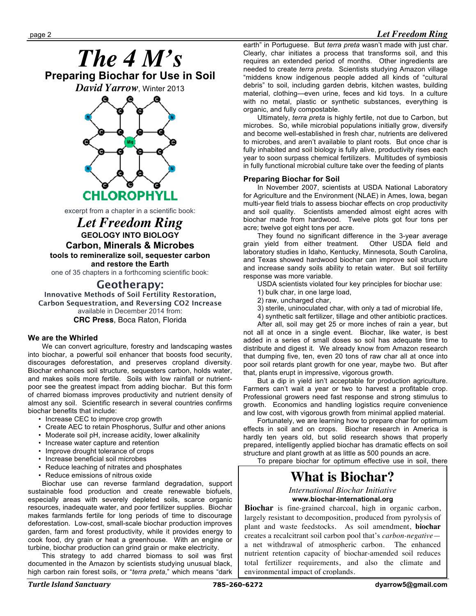# page 2 *Let Freedom Ring*





excerpt from a chapter in a scientific book:

*Let Freedom Ring* **GEOLOGY INTO BIOLOGY Carbon, Minerals & Microbes tools to remineralize soil, sequester carbon and restore the Earth**

one of 35 chapters in a forthcoming scientific book:

# **Geotherapy:**

**Innovative Methods of Soil Fertility Restoration, Carbon Sequestration, and Reversing CO2 Increase** available in December 2014 from:

#### **CRC Press**, Boca Raton, Florida

#### **We are the Whirled**

We can convert agriculture, forestry and landscaping wastes into biochar, a powerful soil enhancer that boosts food security, discourages deforestation, and preserves cropland diversity. Biochar enhances soil structure, sequesters carbon, holds water, and makes soils more fertile. Soils with low rainfall or nutrientpoor see the greatest impact from adding biochar. But this form of charred biomass improves productivity and nutrient density of almost any soil. Scientific research in several countries confirms biochar benefits that include:

- Increase CEC to improve crop growth
- Create AEC to retain Phosphorus, Sulfur and other anions
- Moderate soil pH, increase acidity, lower alkalinity
- Increase water capture and retention
- Improve drought tolerance of crops
- Increase beneficial soil microbes
- Reduce leaching of nitrates and phosphates
- Reduce emissions of nitrous oxide

Biochar use can reverse farmland degradation, support sustainable food production and create renewable biofuels, especially areas with severely depleted soils, scarce organic resources, inadequate water, and poor fertilizer supplies. Biochar makes farmlands fertile for long periods of time to discourage deforestation. Low-cost, small-scale biochar production improves garden, farm and forest productivity, while it provides energy to cook food, dry grain or heat a greenhouse. With an engine or turbine, biochar production can grind grain or make electricity.

This strategy to add charred biomass to soil was first documented in the Amazon by scientists studying unusual black, high carbon rain forest soils, or "*terra preta*," which means "dark

earth" in Portuguese. But *terra preta* wasn't made with just char. Clearly, char initiates a process that transforms soil, and this requires an extended period of months. Other ingredients are needed to create *terra preta*. Scientists studying Amazon village "middens know indigenous people added all kinds of "cultural debris" to soil, including garden debris, kitchen wastes, building material, clothing—even urine, feces and kid toys. In a culture with no metal, plastic or synthetic substances, everything is organic, and fully compostable.

Ultimately, *terra preta* is highly fertile, not due to Carbon, but microbes. So, while microbial populations initially grow, diversify and become well-established in fresh char, nutrients are delivered to microbes, and aren't available to plant roots. But once char is fully inhabited and soil biology is fully alive, productivity rises each year to soon surpass chemical fertilizers. Multitudes of symbiosis in fully functional microbial culture take over the feeding of plants

## **Preparing Biochar for Soil**

In November 2007, scientists at USDA National Laboratory for Agriculture and the Environment (NLAE) in Ames, Iowa, began multi-year field trials to assess biochar effects on crop productivity and soil quality. Scientists amended almost eight acres with biochar made from hardwood. Twelve plots got four tons per acre; twelve got eight tons per acre.

They found no significant difference in the 3-year average grain yield from either treatment. Other USDA field and laboratory studies in Idaho, Kentucky, Minnesota, South Carolina, and Texas showed hardwood biochar can improve soil structure and increase sandy soils ability to retain water. But soil fertility response was more variable.

USDA scientists violated four key principles for biochar use:

- 1) bulk char, in one large load,
- 2) raw, uncharged char,
- 3) sterile, uninoculated char, with only a tad of microbial life,
- 4) synthetic salt fertilizer, tillage and other antibiotic practices.

After all, soil may get 25 or more inches of rain a year, but not all at once in a single event. Biochar, like water, is best added in a series of small doses so soil has adequate time to distribute and digest it. We already know from Amazon research that dumping five, ten, even 20 tons of raw char all at once into poor soil retards plant growth for one year, maybe two. But after that, plants erupt in impressive, vigorous growth.

But a dip in yield isn't acceptable for production agriculture. Farmers can't wait a year or two to harvest a profitable crop. Professional growers need fast response and strong stimulus to growth. Economics and handling logistics require convenience and low cost, with vigorous growth from minimal applied material.

Fortunately, we are learning how to prepare char for optimum effects in soil and on crops. Biochar research in America is hardly ten years old, but solid research shows that properly prepared, intelligently applied biochar has dramatic effects on soil structure and plant growth at as little as 500 pounds an acre.

To prepare biochar for optimum effective use in soil, there

# **What is Biochar?**

*International Biochar Initiative* **www.biochar-international.org**

**Biochar** is fine-grained charcoal, high in organic carbon, largely resistant to decomposition, produced from pyrolysis of plant and waste feedstocks. As soil amendment, **biochar** creates a recalcitrant soil carbon pool that's *carbon-negative* a net withdrawal of atmospheric carbon. The enhanced nutrient retention capacity of biochar-amended soil reduces total fertilizer requirements, and also the climate and environmental impact of croplands.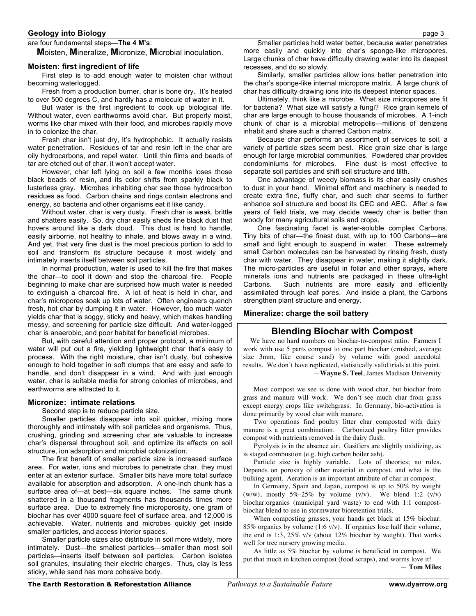#### **Geology into Biology** page 3

#### are four fundamental steps—**The 4 M's**:

**M**oisten, **M**ineralize, **M**icronize, **M**icrobial inoculation.

#### **Moisten: first ingredient of life**

First step is to add enough water to moisten char without becoming waterlogged.

Fresh from a production burner, char is bone dry. It's heated to over 500 degrees C, and hardly has a molecule of water in it.

But water is the first ingredient to cook up biological life. Without water, even earthworms avoid char. But properly moist, worms like char mixed with their food, and microbes rapidly move in to colonize the char.

Fresh char isn't just dry, It's hydrophobic. It actually resists water penetration. Residues of tar and resin left in the char are oily hydrocarbons, and repel water. Until thin films and beads of tar are etched out of char, it won't accept water.

However, char left lying on soil a few months loses those black beads of resin, and its color shifts from sparkly black to lusterless gray. Microbes inhabiting char see those hydrocarbon residues as food. Carbon chains and rings contain electrons and energy, so bacteria and other organisms eat it like candy.

Without water, char is very dusty. Fresh char is weak, brittle and shatters easily. So, dry char easily sheds fine black dust that hovers around like a dark cloud. This dust is hard to handle, easily airborne, not healthy to inhale, and blows away in a wind. And yet, that very fine dust is the most precious portion to add to soil and transform its structure because it most widely and intimately inserts itself between soil particles.

In normal production, water is used to kill the fire that makes the char—to cool it down and stop the charcoal fire. People beginning to make char are surprised how much water is needed to extinguish a charcoal fire. A lot of heat is held in char, and char's micropores soak up lots of water. Often engineers quench fresh, hot char by dumping it in water. However, too much water yields char that is soggy, sticky and heavy, which makes handling messy, and screening for particle size difficult. And water-logged char is anaerobic, and poor habitat for beneficial microbes.

But, with careful attention and proper protocol, a minimum of water will put out a fire, yielding lightweight char that's easy to process. With the right moisture, char isn't dusty, but cohesive enough to hold together in soft clumps that are easy and safe to handle, and don't disappear in a wind. And with just enough water, char is suitable media for strong colonies of microbes, and earthworms are attracted to it.

#### **Micronize: intimate relations**

Second step is to reduce particle size.

Smaller particles disappear into soil quicker, mixing more thoroughly and intimately with soil particles and organisms. Thus, crushing, grinding and screening char are valuable to increase char's dispersal throughout soil, and optimize its effects on soil structure, ion adsorption and microbial colonization.

The first benefit of smaller particle size is increased surface area. For water, ions and microbes to penetrate char, they must enter at an exterior surface. Smaller bits have more total surface available for absorption and adsorption. A one-inch chunk has a surface area of—at best—six square inches. The same chunk shattered in a thousand fragments has thousands times more surface area. Due to extremely fine microporosity, one gram of biochar has over 4000 square feet of surface area, and 12,000 is achievable. Water, nutrients and microbes quickly get inside smaller particles, and access interior spaces.

Smaller particle sizes also distribute in soil more widely, more intimately. Dust—the smallest particles—smaller than most soil particles—inserts itself between soil particles. Carbon isolates soil granules, insulating their electric charges. Thus, clay is less sticky, while sand has more cohesive body.

Smaller particles hold water better, because water penetrates more easily and quickly into char's sponge-like micropores. Large chunks of char have difficulty drawing water into its deepest recesses, and do so slowly.

Similarly, smaller particles allow ions better penetration into the char's sponge-like internal micropore matrix. A large chunk of char has difficulty drawing ions into its deepest interior spaces.

Ultimately, think like a microbe. What size micropores are fit for bacteria? What size will satisfy a fungi? Rice grain kernels of char are large enough to house thousands of microbes. A 1-inch chunk of char is a microbial metropolis—millions of denizens inhabit and share such a charred Carbon matrix.

Because char performs an assortment of services to soil, a variety of particle sizes seem best. Rice grain size char is large enough for large microbial communities. Powdered char provides condominiums for microbes. Fine dust is most effective to separate soil particles and shift soil structure and tilth.

One advantage of weedy biomass is its char easily crushes to dust in your hand. Minimal effort and machinery is needed to create extra fine, fluffy char, and such char seems to further enhance soil structure and boost its CEC and AEC. After a few years of field trials, we may decide weedy char is better than woody for many agricultural soils and crops.

One fascinating facet is water-soluble complex Carbons. Tiny bits of char—the finest dust, with up to 100 Carbons—are small and light enough to suspend in water. These extremely small Carbon molecules can be harvested by rinsing fresh, dusty char with water. They disappear in water, making it slightly dark. The micro-particles are useful in foliar and other sprays, where minerals ions and nutrients are packaged in these ultra-light Carbons. Such nutrients are more easily and efficiently assimilated through leaf pores. And inside a plant, the Carbons strengthen plant structure and energy.

#### **Mineralize: charge the soil battery**

## **Blending Biochar with Compost**

We have no hard numbers on biochar-to-compost ratio. Farmers I work with use 5 parts compost to one part biochar (crushed, average size 3mm, like coarse sand) by volume with good anecdotal results. We don't have replicated, statistically valid trials at this point. —**Wayne S. Teel**, James Madison University

Most compost we see is done with wood char, but biochar from grass and manure will work. We don't see much char from grass except energy crops like switchgrass. In Germany, bio-activation is done primarily by wood char with manure.

Two operations find poultry litter char composted with dairy manure is a great combination. Carbonized poultry litter provides compost with nutrients removed in the dairy flush.

Pyrolysis is in the absence air. Gasifiers are slightly oxidizing, as is staged combustion (e.g. high carbon boiler ash).

Particle size is highly variable. Lots of theories; no rules. Depends on porosity of other material in compost, and what is the bulking agent. Aeration is an important attribute of char in compost.

In Germany, Spain and Japan, compost is up to 50% by weight (w/w), mostly  $5\% - 25\%$  by volume (v/v). We blend 1:2 (v/v) biochar:organics (municipal yard waste) to end with 1:1 compostbiochar blend to use in stormwater bioretention trials.

When composting grasses, your hands get black at 15% biochar: 85% organics by volume  $(1:6 \text{ v/v})$ . If organics lose half their volume, the end is 1:3, 25% v/v (about 12% biochar by weight). That works well for tree nursery growing media.

As little as 5% biochar by volume is beneficial in compost. We put that much in kitchen compost (food scraps), and worms love it! — **Tom Miles**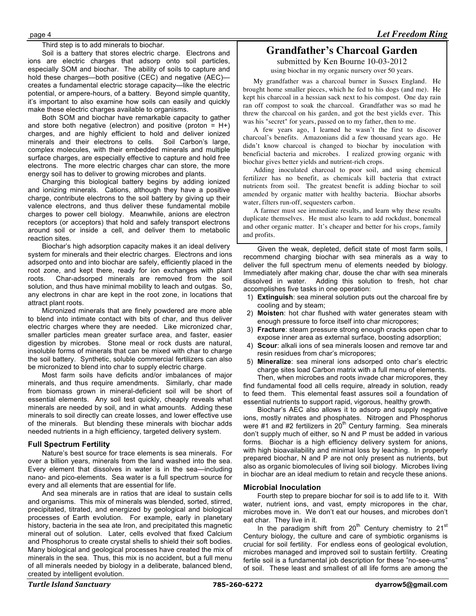#### Third step is to add minerals to biochar.

Soil is a battery that stores electric charge. Electrons and ions are electric charges that adsorp onto soil particles, especially SOM and biochar. The ability of soils to capture and hold these charges—both positive (CEC) and negative (AEC) creates a fundamental electric storage capacity—like the electric potential, or ampere-hours, of a battery. Beyond simple quantity, it's important to also examine how soils can easily and quickly make these electric charges available to organisms.

Both SOM and biochar have remarkable capacity to gather and store both negative (electron) and positive (proton =  $H+$ ) charges, and are highly efficient to hold and deliver ionized minerals and their electrons to cells. Soil Carbon's large, complex molecules, with their embedded minerals and multiple surface charges, are especially effective to capture and hold free electrons. The more electric charges char can store, the more energy soil has to deliver to growing microbes and plants.

Charging this biological battery begins by adding ionized and ionizing minerals. Cations, although they have a positive charge, contribute electrons to the soil battery by giving up their valence electrons, and thus deliver these fundamental mobile charges to power cell biology. Meanwhile, anions are electron receptors (or acceptors) that hold and safely transport electrons around soil or inside a cell, and deliver them to metabolic reaction sites.

Biochar's high adsorption capacity makes it an ideal delivery system for minerals and their electric charges. Electrons and ions adsorped onto and into biochar are safely, efficiently placed in the root zone, and kept there, ready for ion exchanges with plant roots. Char-adsorped minerals are removed from the soil solution, and thus have minimal mobility to leach and outgas. So, any electrons in char are kept in the root zone, in locations that attract plant roots.

Micronized minerals that are finely powdered are more able to blend into intimate contact with bits of char, and thus deliver electric charges where they are needed. Like micronized char, smaller particles mean greater surface area, and faster, easier digestion by microbes. Stone meal or rock dusts are natural, insoluble forms of minerals that can be mixed with char to charge the soil battery. Synthetic, soluble commercial fertilizers can also be micronized to blend into char to supply electric charge.

Most farm soils have deficits and/or imbalances of major minerals, and thus require amendments. Similarly, char made from biomass grown in mineral-deficient soil will be short of essential elements. Any soil test quickly, cheaply reveals what minerals are needed by soil, and in what amounts. Adding these minerals to soil directly can create losses, and lower effective use of the minerals. But blending these minerals with biochar adds needed nutrients in a high efficiency, targeted delivery system.

## **Full Spectrum Fertility**

Nature's best source for trace elements is sea minerals. For over a billion years, minerals from the land washed into the sea. Every element that dissolves in water is in the sea—including nano- and pico-elements. Sea water is a full spectrum source for every and all elements that are essential for life.

And sea minerals are in ratios that are ideal to sustain cells and organisms. This mix of minerals was blended, sorted, stirred, precipitated, titrated, and energized by geological and biological processes of Earth evolution. For example, early in planetary history, bacteria in the sea ate Iron, and precipitated this magnetic mineral out of solution. Later, cells evolved that fixed Calcium and Phosphorus to create crystal shells to shield their soft bodies. Many biological and geological processes have created the mix of minerals in the sea. Thus, this mix is no accident, but a full menu of all minerals needed by biology in a deliberate, balanced blend, created by intelligent evolution.

# **Grandfather's Charcoal Garden**

submitted by Ken Bourne 10-03-2012 using biochar in my organic nursery over 50 years.

My grandfather was a charcoal burner in Sussex England. He brought home smaller pieces, which he fed to his dogs (and me). He kept his charcoal in a hessian sack next to his compost. One day rain ran off compost to soak the charcoal. Grandfather was so mad he threw the charcoal on his garden, and got the best yields ever. This was his "secret" for years, passed on to my father, then to me.

A few years ago, I learned he wasn't the first to discover charcoal's benefits. Amazonians did a few thousand years ago. He didn't know charcoal is changed to biochar by inoculation with beneficial bacteria and microbes. I realized growing organic with biochar gives better yields and nutrient-rich crops.

Adding inoculated charcoal to poor soil, and using chemical fertilizer has no benefit, as chemicals kill bacteria that extract nutrients from soil. The greatest benefit is adding biochar to soil amended by organic matter with healthy bacteria. Biochar absorbs water, filters run-off, sequesters carbon.

A farmer must see immediate results, and learn why these results duplicate themselves. He must also learn to add rockdust, bonemeal and other organic matter. It's cheaper and better for his crops, family and profits.

Given the weak, depleted, deficit state of most farm soils, I recommend charging biochar with sea minerals as a way to deliver the full spectrum menu of elements needed by biology. Immediately after making char, douse the char with sea minerals dissolved in water. Adding this solution to fresh, hot char accomplishes five tasks in one operation:

- 1) **Extinguish**: sea mineral solution puts out the charcoal fire by cooling and by steam;
- 2) **Moisten**: hot char flushed with water generates steam with enough pressure to force itself into char micropores;
- 3) **Fracture**: steam pressure strong enough cracks open char to expose inner area as external surface, boosting adsorption;
- 4) **Scour**: alkali ions of sea minerals loosen and remove tar and resin residues from char's micropores;
- 5) **Mineralize**: sea mineral ions adsorped onto char's electric charge sites load Carbon matrix with a full menu of elements. Then, when microbes and roots invade char micropores, they

find fundamental food all cells require, already in solution, ready to feed them. This elemental feast assures soil a foundation of essential nutrients to support rapid, vigorous, healthy growth.

Biochar's AEC also allows it to adsorp and supply negative ions, mostly nitrates and phosphates. Nitrogen and Phosphorus were #1 and #2 fertilizers in  $20<sup>th</sup>$  Century farming. Sea minerals don't supply much of either, so N and P must be added in various forms. Biochar is a high efficiency delivery system for anions, with high bioavailability and minimal loss by leaching. In properly prepared biochar, N and P are not only present as nutrients, but also as organic biomolecules of living soil biology. Microbes living in biochar are an ideal medium to retain and recycle these anions.

## **Microbial Inoculation**

Fourth step to prepare biochar for soil is to add life to it. With water, nutrient ions, and vast, empty micropores in the char, microbes move in. We don't eat our houses, and microbes don't eat char. They live in it.

In the paradigm shift from  $20<sup>th</sup>$  Century chemistry to  $21<sup>st</sup>$ Century biology, the culture and care of symbiotic organisms is crucial for soil fertility. For endless eons of geological evolution, microbes managed and improved soil to sustain fertility. Creating fertile soil is a fundamental job description for these "no-see-ums" of soil. These least and smallest of all life forms are among the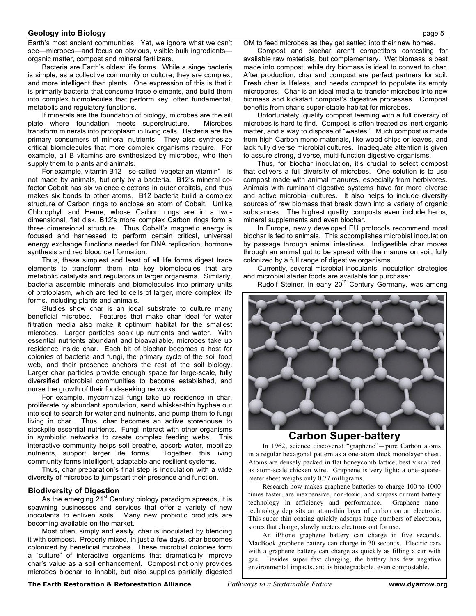#### **Geology into Biology** page 5

Earth's most ancient communities. Yet, we ignore what we can't see—microbes—and focus on obvious, visible bulk ingredients organic matter, compost and mineral fertilizers.

Bacteria are Earth's oldest life forms. While a singe bacteria is simple, as a collective community or culture, they are complex, and more intelligent than plants. One expression of this is that it is primarily bacteria that consume trace elements, and build them into complex biomolecules that perform key, often fundamental, metabolic and regulatory functions.

If minerals are the foundation of biology, microbes are the sill plate—where foundation meets superstructure. Microbes transform minerals into protoplasm in living cells. Bacteria are the primary consumers of mineral nutrients. They also synthesize critical biomolecules that more complex organisms require. For example, all B vitamins are synthesized by microbes, who then supply them to plants and animals.

For example, vitamin B12—so-called "vegetarian vitamin"—is not made by animals, but only by a bacteria. B12's mineral cofactor Cobalt has six valence electrons in outer orbitals, and thus makes six bonds to other atoms. B12 bacteria build a complex structure of Carbon rings to enclose an atom of Cobalt. Unlike Chlorophyll and Heme, whose Carbon rings are in a twodimensional, flat disk, B12's more complex Carbon rings form a three dimensional structure. Thus Cobalt's magnetic energy is focused and harnessed to perform certain critical, universal energy exchange functions needed for DNA replication, hormone synthesis and red blood cell formation.

Thus, these simplest and least of all life forms digest trace elements to transform them into key biomolecules that are metabolic catalysts and regulators in larger organisms. Similarly, bacteria assemble minerals and biomolecules into primary units of protoplasm, which are fed to cells of larger, more complex life forms, including plants and animals.

Studies show char is an ideal substrate to culture many beneficial microbes. Features that make char ideal for water filtration media also make it optimum habitat for the smallest microbes. Larger particles soak up nutrients and water. With essential nutrients abundant and bioavailable, microbes take up residence inside char. Each bit of biochar becomes a host for colonies of bacteria and fungi, the primary cycle of the soil food web, and their presence anchors the rest of the soil biology. Larger char particles provide enough space for large-scale, fully diversified microbial communities to become established, and nurse the growth of their food-seeking networks.

For example, mycorrhizal fungi take up residence in char, proliferate by abundant sporulation, send whisker-thin hyphae out into soil to search for water and nutrients, and pump them to fungi living in char. Thus, char becomes an active storehouse to stockpile essential nutrients. Fungi interact with other organisms in symbiotic networks to create complex feeding webs. This interactive community helps soil breathe, absorb water, mobilize nutrients, support larger life forms. Together, this living community forms intelligent, adaptable and resilient systems.

Thus, char preparation's final step is inoculation with a wide diversity of microbes to jumpstart their presence and function.

#### **Biodiversity of Digestion**

As the emerging 21<sup>st</sup> Century biology paradigm spreads, it is spawning businesses and services that offer a variety of new inoculants to enliven soils. Many new probiotic products are becoming available on the market.

Most often, simply and easily, char is inoculated by blending it with compost. Properly mixed, in just a few days, char becomes colonized by beneficial microbes. These microbial colonies form a "culture" of interactive organisms that dramatically improve char's value as a soil enhancement. Compost not only provides microbes biochar to inhabit, but also supplies partially digested OM to feed microbes as they get settled into their new homes.

Compost and biochar aren't competitors contesting for available raw materials, but complementary. Wet biomass is best made into compost, while dry biomass is ideal to convert to char. After production, char and compost are perfect partners for soil. Fresh char is lifeless, and needs compost to populate its empty micropores. Char is an ideal media to transfer microbes into new biomass and kickstart compost's digestive processes. Compost benefits from char's super-stable habitat for microbes.

Unfortunately, quality compost teeming with a full diversity of microbes is hard to find. Compost is often treated as inert organic matter, and a way to dispose of "wastes." Much compost is made from high Carbon mono-materials, like wood chips or leaves, and lack fully diverse microbial cultures. Inadequate attention is given to assure strong, diverse, multi-function digestive organisms.

Thus, for biochar inoculation, it's crucial to select compost that delivers a full diversity of microbes. One solution is to use compost made with animal manures, especially from herbivores. Animals with ruminant digestive systems have far more diverse and active microbial cultures. It also helps to include diversity sources of raw biomass that break down into a variety of organic substances. The highest quality composts even include herbs, mineral supplements and even biochar.

In Europe, newly developed EU protocols recommend most biochar is fed to animals. This accomplishes microbial inoculation by passage through animal intestines. Indigestible char moves through an animal gut to be spread with the manure on soil, fully colonized by a full range of digestive organisms.

Currently, several microbial inoculants, inoculation strategies and microbial starter foods are available for purchase:

Rudolf Steiner, in early 20<sup>th</sup> Century Germany, was among



# **Carbon Super-battery**

In 1962, science discovered "graphene"—pure Carbon atoms in a regular hexagonal pattern as a one-atom thick monolayer sheet. Atoms are densely packed in flat honeycomb lattice, best visualized as atom-scale chicken wire. Graphene is very light; a one-squaremeter sheet weighs only 0.77 milligrams.

Research now makes graphene batteries to charge 100 to 1000 times faster, are inexpensive, non-toxic, and surpass current battery technology in efficiency and performance. Graphene nanotechnology deposits an atom-thin layer of carbon on an electrode. This super-thin coating quickly adsorps huge numbers of electrons, stores that charge, slowly meters electrons out for use.

An iPhone graphene battery can charge in five seconds. MacBook graphene battery can charge in 30 seconds. Electric cars with a graphene battery can charge as quickly as filling a car with gas. Besides super fast charging, the battery has few negative environmental impacts, and is biodegradable, even compostable.